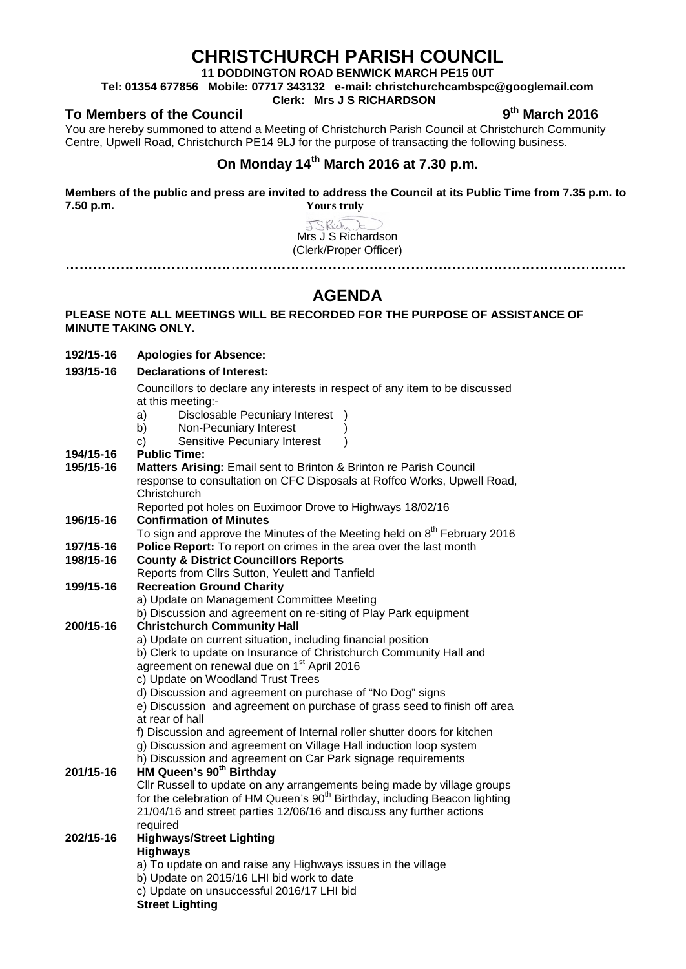# **CHRISTCHURCH PARISH COUNCIL**

**11 DODDINGTON ROAD BENWICK MARCH PE15 0UT**

**Tel: 01354 677856 Mobile: 07717 343132 e-mail: christchurchcambspc@googlemail.com**

### **Clerk: Mrs J S RICHARDSON**

**To Members of the Council 9th March 2016**

**192/15-16 Apologies for Absence:** 

You are hereby summoned to attend a Meeting of Christchurch Parish Council at Christchurch Community Centre, Upwell Road, Christchurch PE14 9LJ for the purpose of transacting the following business.

### **On Monday 14th March 2016 at 7.30 p.m.**

**Members of the public and press are invited to address the Council at its Public Time from 7.35 p.m. to 7.50 p.m. Yours truly**

> JSRich Mrs J S Richardson (Clerk/Proper Officer) **…………………………………………………………………………………………………………..**

# **AGENDA**

### **PLEASE NOTE ALL MEETINGS WILL BE RECORDED FOR THE PURPOSE OF ASSISTANCE OF MINUTE TAKING ONLY.**

**193/15-16 Declarations of Interest:** Councillors to declare any interests in respect of any item to be discussed at this meeting: a) Disclosable Pecuniary Interest ) b) Non-Pecuniary Interest c) Sensitive Pecuniary Interest ) **194/15-16 Public Time: 195/15-16 Matters Arising:** Email sent to Brinton & Brinton re Parish Council response to consultation on CFC Disposals at Roffco Works, Upwell Road, **Christchurch** Reported pot holes on Euximoor Drove to Highways 18/02/16 **196/15-16 Confirmation of Minutes** To sign and approve the Minutes of the Meeting held on  $8<sup>th</sup>$  February 2016 **197/15-16 Police Report:** To report on crimes in the area over the last month **198/15-16 County & District Councillors Reports** Reports from Cllrs Sutton, Yeulett and Tanfield **199/15-16 Recreation Ground Charity** a) Update on Management Committee Meeting b) Discussion and agreement on re-siting of Play Park equipment **200/15-16 Christchurch Community Hall** a) Update on current situation, including financial position b) Clerk to update on Insurance of Christchurch Community Hall and agreement on renewal due on 1st April 2016 c) Update on Woodland Trust Trees d) Discussion and agreement on purchase of "No Dog" signs e) Discussion and agreement on purchase of grass seed to finish off area at rear of hall f) Discussion and agreement of Internal roller shutter doors for kitchen g) Discussion and agreement on Village Hall induction loop system h) Discussion and agreement on Car Park signage requirements **201/15-16 HM Queen's 90th Birthday** Cllr Russell to update on any arrangements being made by village groups for the celebration of HM Queen's 90<sup>th</sup> Birthday, including Beacon lighting 21/04/16 and street parties 12/06/16 and discuss any further actions required **202/15-16 Highways/Street Lighting Highways** a) To update on and raise any Highways issues in the village b) Update on 2015/16 LHI bid work to date c) Update on unsuccessful 2016/17 LHI bid **Street Lighting**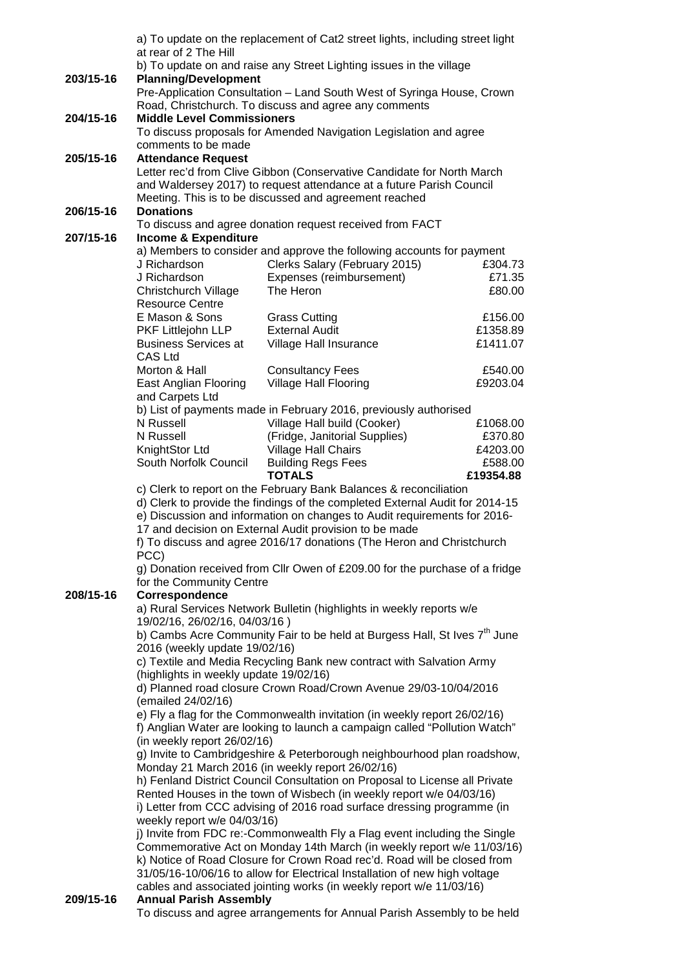|           |                                                                                                                                                                                                                                                                                                                                                                          | a) To update on the replacement of Cat2 street lights, including street light                                                   |           |  |
|-----------|--------------------------------------------------------------------------------------------------------------------------------------------------------------------------------------------------------------------------------------------------------------------------------------------------------------------------------------------------------------------------|---------------------------------------------------------------------------------------------------------------------------------|-----------|--|
|           | at rear of 2 The Hill                                                                                                                                                                                                                                                                                                                                                    |                                                                                                                                 |           |  |
| 203/15-16 | b) To update on and raise any Street Lighting issues in the village<br><b>Planning/Development</b>                                                                                                                                                                                                                                                                       |                                                                                                                                 |           |  |
|           |                                                                                                                                                                                                                                                                                                                                                                          | Pre-Application Consultation - Land South West of Syringa House, Crown<br>Road, Christchurch. To discuss and agree any comments |           |  |
| 204/15-16 | <b>Middle Level Commissioners</b>                                                                                                                                                                                                                                                                                                                                        |                                                                                                                                 |           |  |
|           | To discuss proposals for Amended Navigation Legislation and agree                                                                                                                                                                                                                                                                                                        |                                                                                                                                 |           |  |
|           | comments to be made                                                                                                                                                                                                                                                                                                                                                      |                                                                                                                                 |           |  |
| 205/15-16 | <b>Attendance Request</b>                                                                                                                                                                                                                                                                                                                                                |                                                                                                                                 |           |  |
|           | Letter rec'd from Clive Gibbon (Conservative Candidate for North March<br>and Waldersey 2017) to request attendance at a future Parish Council                                                                                                                                                                                                                           |                                                                                                                                 |           |  |
|           |                                                                                                                                                                                                                                                                                                                                                                          |                                                                                                                                 |           |  |
| 206/15-16 | Meeting. This is to be discussed and agreement reached<br><b>Donations</b>                                                                                                                                                                                                                                                                                               |                                                                                                                                 |           |  |
|           | To discuss and agree donation request received from FACT                                                                                                                                                                                                                                                                                                                 |                                                                                                                                 |           |  |
| 207/15-16 | Income & Expenditure                                                                                                                                                                                                                                                                                                                                                     |                                                                                                                                 |           |  |
|           |                                                                                                                                                                                                                                                                                                                                                                          | a) Members to consider and approve the following accounts for payment                                                           |           |  |
|           | J Richardson                                                                                                                                                                                                                                                                                                                                                             | Clerks Salary (February 2015)                                                                                                   | £304.73   |  |
|           | J Richardson                                                                                                                                                                                                                                                                                                                                                             | Expenses (reimbursement)                                                                                                        | £71.35    |  |
|           | <b>Christchurch Village</b><br><b>Resource Centre</b>                                                                                                                                                                                                                                                                                                                    | The Heron                                                                                                                       | £80.00    |  |
|           | E Mason & Sons                                                                                                                                                                                                                                                                                                                                                           | <b>Grass Cutting</b>                                                                                                            | £156.00   |  |
|           | PKF Littlejohn LLP                                                                                                                                                                                                                                                                                                                                                       | <b>External Audit</b>                                                                                                           | £1358.89  |  |
|           | <b>Business Services at</b>                                                                                                                                                                                                                                                                                                                                              | Village Hall Insurance                                                                                                          | £1411.07  |  |
|           | CAS Ltd                                                                                                                                                                                                                                                                                                                                                                  |                                                                                                                                 |           |  |
|           | Morton & Hall                                                                                                                                                                                                                                                                                                                                                            | <b>Consultancy Fees</b>                                                                                                         | £540.00   |  |
|           | East Anglian Flooring                                                                                                                                                                                                                                                                                                                                                    | Village Hall Flooring                                                                                                           | £9203.04  |  |
|           | and Carpets Ltd                                                                                                                                                                                                                                                                                                                                                          | b) List of payments made in February 2016, previously authorised                                                                |           |  |
|           | N Russell                                                                                                                                                                                                                                                                                                                                                                | Village Hall build (Cooker)                                                                                                     | £1068.00  |  |
|           | N Russell                                                                                                                                                                                                                                                                                                                                                                | (Fridge, Janitorial Supplies)                                                                                                   | £370.80   |  |
|           | KnightStor Ltd                                                                                                                                                                                                                                                                                                                                                           | Village Hall Chairs                                                                                                             | £4203.00  |  |
|           | South Norfolk Council                                                                                                                                                                                                                                                                                                                                                    | <b>Building Regs Fees</b>                                                                                                       | £588.00   |  |
|           |                                                                                                                                                                                                                                                                                                                                                                          | <b>TOTALS</b>                                                                                                                   | £19354.88 |  |
|           | c) Clerk to report on the February Bank Balances & reconciliation<br>d) Clerk to provide the findings of the completed External Audit for 2014-15<br>e) Discussion and information on changes to Audit requirements for 2016-<br>17 and decision on External Audit provision to be made<br>f) To discuss and agree 2016/17 donations (The Heron and Christchurch<br>PCC) |                                                                                                                                 |           |  |
|           |                                                                                                                                                                                                                                                                                                                                                                          |                                                                                                                                 |           |  |
|           |                                                                                                                                                                                                                                                                                                                                                                          |                                                                                                                                 |           |  |
|           |                                                                                                                                                                                                                                                                                                                                                                          |                                                                                                                                 |           |  |
|           |                                                                                                                                                                                                                                                                                                                                                                          |                                                                                                                                 |           |  |
|           | g) Donation received from Cllr Owen of £209.00 for the purchase of a fridge                                                                                                                                                                                                                                                                                              |                                                                                                                                 |           |  |
| 208/15-16 | for the Community Centre<br>Correspondence                                                                                                                                                                                                                                                                                                                               |                                                                                                                                 |           |  |
|           | a) Rural Services Network Bulletin (highlights in weekly reports w/e                                                                                                                                                                                                                                                                                                     |                                                                                                                                 |           |  |
|           | 19/02/16, 26/02/16, 04/03/16)                                                                                                                                                                                                                                                                                                                                            |                                                                                                                                 |           |  |
|           | b) Cambs Acre Community Fair to be held at Burgess Hall, St Ives 7 <sup>th</sup> June<br>2016 (weekly update 19/02/16)<br>c) Textile and Media Recycling Bank new contract with Salvation Army<br>(highlights in weekly update 19/02/16)<br>d) Planned road closure Crown Road/Crown Avenue 29/03-10/04/2016                                                             |                                                                                                                                 |           |  |
|           |                                                                                                                                                                                                                                                                                                                                                                          |                                                                                                                                 |           |  |
|           |                                                                                                                                                                                                                                                                                                                                                                          |                                                                                                                                 |           |  |
|           |                                                                                                                                                                                                                                                                                                                                                                          |                                                                                                                                 |           |  |
|           | (emailed 24/02/16)                                                                                                                                                                                                                                                                                                                                                       |                                                                                                                                 |           |  |
|           |                                                                                                                                                                                                                                                                                                                                                                          | e) Fly a flag for the Commonwealth invitation (in weekly report 26/02/16)                                                       |           |  |
|           |                                                                                                                                                                                                                                                                                                                                                                          | f) Anglian Water are looking to launch a campaign called "Pollution Watch"                                                      |           |  |
|           | (in weekly report 26/02/16)                                                                                                                                                                                                                                                                                                                                              |                                                                                                                                 |           |  |
|           |                                                                                                                                                                                                                                                                                                                                                                          | g) Invite to Cambridgeshire & Peterborough neighbourhood plan roadshow,                                                         |           |  |
|           |                                                                                                                                                                                                                                                                                                                                                                          | Monday 21 March 2016 (in weekly report 26/02/16)<br>h) Fenland District Council Consultation on Proposal to License all Private |           |  |
|           |                                                                                                                                                                                                                                                                                                                                                                          | Rented Houses in the town of Wisbech (in weekly report w/e 04/03/16)                                                            |           |  |
|           |                                                                                                                                                                                                                                                                                                                                                                          | i) Letter from CCC advising of 2016 road surface dressing programme (in                                                         |           |  |
|           | weekly report w/e 04/03/16)                                                                                                                                                                                                                                                                                                                                              |                                                                                                                                 |           |  |
|           | j) Invite from FDC re:-Commonwealth Fly a Flag event including the Single                                                                                                                                                                                                                                                                                                |                                                                                                                                 |           |  |
|           | Commemorative Act on Monday 14th March (in weekly report w/e 11/03/16)                                                                                                                                                                                                                                                                                                   |                                                                                                                                 |           |  |
|           |                                                                                                                                                                                                                                                                                                                                                                          | k) Notice of Road Closure for Crown Road rec'd. Road will be closed from                                                        |           |  |
|           |                                                                                                                                                                                                                                                                                                                                                                          | 31/05/16-10/06/16 to allow for Electrical Installation of new high voltage                                                      |           |  |
| 209/15-16 | cables and associated jointing works (in weekly report w/e 11/03/16)<br><b>Annual Parish Assembly</b>                                                                                                                                                                                                                                                                    |                                                                                                                                 |           |  |
|           |                                                                                                                                                                                                                                                                                                                                                                          | To discuss and agree arrangements for Annual Parish Assembly to be held                                                         |           |  |
|           |                                                                                                                                                                                                                                                                                                                                                                          |                                                                                                                                 |           |  |